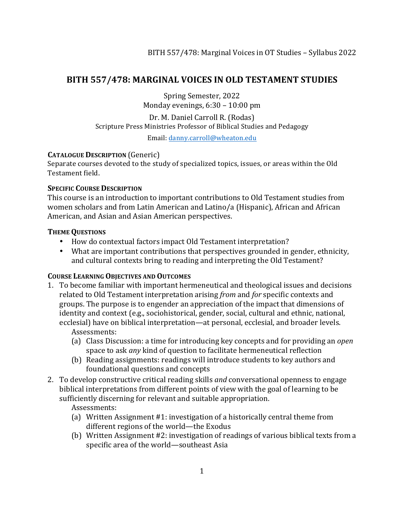### **BITH 557/478: MARGINAL VOICES IN OLD TESTAMENT STUDIES**

Spring Semester, 2022 Monday evenings, 6:30 – 10:00 pm

Dr. M. Daniel Carroll R. (Rodas) Scripture Press Ministries Professor of Biblical Studies and Pedagogy

Email: danny.carroll@wheaton.edu

#### **CATALOGUE DESCRIPTION** (Generic)

Separate courses devoted to the study of specialized topics, issues, or areas within the Old Testament field.

#### **SPECIFIC COURSE DESCRIPTION**

This course is an introduction to important contributions to Old Testament studies from women scholars and from Latin American and Latino/a (Hispanic), African and African American, and Asian and Asian American perspectives.

#### **THEME QUESTIONS**

- How do contextual factors impact Old Testament interpretation?
- What are important contributions that perspectives grounded in gender, ethnicity, and cultural contexts bring to reading and interpreting the Old Testament?

### **COURSE LEARNING OBJECTIVES AND OUTCOMES**

1. To become familiar with important hermeneutical and theological issues and decisions related to Old Testament interpretation arising *from* and *for* specific contexts and groups. The purpose is to engender an appreciation of the impact that dimensions of identity and context (e.g., sociohistorical, gender, social, cultural and ethnic, national, ecclesial) have on biblical interpretation—at personal, ecclesial, and broader levels.

Assessments:

- (a) Class Discussion: a time for introducing key concepts and for providing an *open* space to ask *any* kind of question to facilitate hermeneutical reflection
- (b) Reading assignments: readings will introduce students to key authors and foundational questions and concepts
- 2. To develop constructive critical reading skills *and* conversational openness to engage biblical interpretations from different points of view with the goal of learning to be sufficiently discerning for relevant and suitable appropriation.

Assessments:

- (a) Written Assignment #1: investigation of a historically central theme from different regions of the world—the Exodus
- (b) Written Assignment #2: investigation of readings of various biblical texts from a specific area of the world-southeast Asia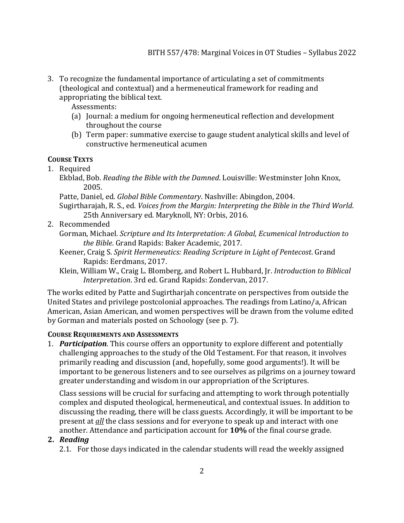3. To recognize the fundamental importance of articulating a set of commitments (theological and contextual) and a hermeneutical framework for reading and appropriating the biblical text.

Assessments:

- (a) Journal: a medium for ongoing hermeneutical reflection and development throughout the course
- (b) Term paper: summative exercise to gauge student analytical skills and level of constructive hermeneutical acumen

### **COURSE TEXTS**

- 1. Required
	- Ekblad, Bob. *Reading the Bible with the Damned*. Louisville: Westminster John Knox, 2005.
	- Patte, Daniel, ed. *Global Bible Commentary*. Nashville: Abingdon, 2004.
	- Sugirtharajah, R. S., ed. *Voices from the Margin: Interpreting the Bible in the Third World.* 25th Anniversary ed. Maryknoll, NY: Orbis, 2016.
- 2. Recommended
	- Gorman, Michael. *Scripture and Its Interpretation: A Global, Ecumenical Introduction to* the Bible. Grand Rapids: Baker Academic, 2017.
	- Keener, Craig S. *Spirit Hermeneutics: Reading Scripture in Light of Pentecost.* Grand Rapids: Eerdmans, 2017.
	- Klein, William W., Craig L. Blomberg, and Robert L. Hubbard, Jr. *Introduction to Biblical Interpretation.* 3rd ed. Grand Rapids: Zondervan, 2017.

The works edited by Patte and Sugirtharjah concentrate on perspectives from outside the United States and privilege postcolonial approaches. The readings from Latino/a, African American, Asian American, and women perspectives will be drawn from the volume edited by Gorman and materials posted on Schoology (see p. 7).

### **COURSE REQUIREMENTS AND ASSESSMENTS**

1. **Participation**. This course offers an opportunity to explore different and potentially challenging approaches to the study of the Old Testament. For that reason, it involves primarily reading and discussion (and, hopefully, some good arguments!). It will be important to be generous listeners and to see ourselves as pilgrims on a journey toward greater understanding and wisdom in our appropriation of the Scriptures.

Class sessions will be crucial for surfacing and attempting to work through potentially complex and disputed theological, hermeneutical, and contextual issues. In addition to discussing the reading, there will be class guests. Accordingly, it will be important to be present at *all* the class sessions and for everyone to speak up and interact with one another. Attendance and participation account for 10% of the final course grade.

### **2.** *Reading*

2.1. For those days indicated in the calendar students will read the weekly assigned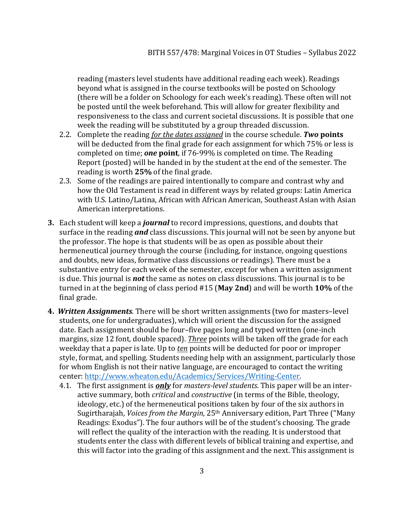reading (masters level students have additional reading each week). Readings beyond what is assigned in the course textbooks will be posted on Schoology (there will be a folder on Schoology for each week's reading). These often will not be posted until the week beforehand. This will allow for greater flexibility and responsiveness to the class and current societal discussions. It is possible that one week the reading will be substituted by a group threaded discussion.

- 2.2. Complete the reading *for the dates assigned* in the course schedule. **Two points** will be deducted from the final grade for each assignment for which 75% or less is completed on time; *one* point, if 76-99% is completed on time. The Reading Report (posted) will be handed in by the student at the end of the semester. The reading is worth 25% of the final grade.
- 2.3. Some of the readings are paired intentionally to compare and contrast why and how the Old Testament is read in different ways by related groups: Latin America with U.S. Latino/Latina, African with African American, Southeast Asian with Asian American interpretations.
- **3.** Each student will keep a *journal* to record impressions, questions, and doubts that surface in the reading **and** class discussions. This journal will not be seen by anyone but the professor. The hope is that students will be as open as possible about their hermeneutical journey through the course (including, for instance, ongoing questions and doubts, new ideas, formative class discussions or readings). There must be a substantive entry for each week of the semester, except for when a written assignment is due. This journal is **not** the same as notes on class discussions. This journal is to be turned in at the beginning of class period #15 (May 2nd) and will be worth 10% of the final grade.
- **4.** Written Assignments. There will be short written assignments (two for masters-level students, one for undergraduates), which will orient the discussion for the assigned date. Each assignment should be four-five pages long and typed written (one-inch margins, size 12 font, double spaced). *Three* points will be taken off the grade for each weekday that a paper is late. Up to *ten* points will be deducted for poor or improper style, format, and spelling. Students needing help with an assignment, particularly those for whom English is not their native language, are encouraged to contact the writing center: http://www.wheaton.edu/Academics/Services/Writing-Center.
	- 4.1. The first assignment is *only* for *masters-level students*. This paper will be an interactive summary, both *critical* and *constructive* (in terms of the Bible, theology, ideology, etc.) of the hermeneutical positions taken by four of the six authors in Sugirtharajah, *Voices from the Margin*, 25<sup>th</sup> Anniversary edition, Part Three ("Many Readings: Exodus"). The four authors will be of the student's choosing. The grade will reflect the quality of the interaction with the reading. It is understood that students enter the class with different levels of biblical training and expertise, and this will factor into the grading of this assignment and the next. This assignment is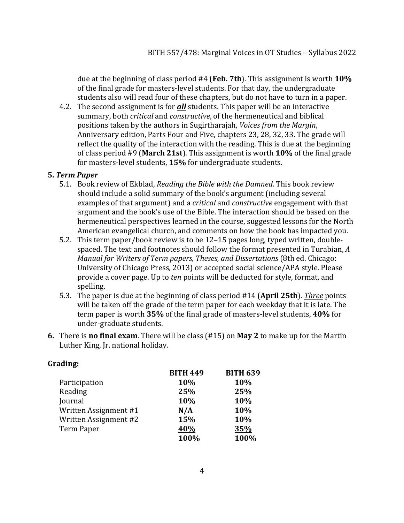due at the beginning of class period #4 (Feb. 7th). This assignment is worth **10%** of the final grade for masters-level students. For that day, the undergraduate students also will read four of these chapters, but do not have to turn in a paper.

4.2. The second assignment is for **all** students. This paper will be an interactive summary, both *critical* and *constructive*, of the hermeneutical and biblical positions taken by the authors in Sugirtharajah, *Voices from the Margin*, Anniversary edition, Parts Four and Five, chapters 23, 28, 32, 33. The grade will reflect the quality of the interaction with the reading. This is due at the beginning of class period #9 (March 21st). This assignment is worth 10% of the final grade for masters-level students, 15% for undergraduate students.

#### **5.** *Term Paper*

- 5.1. Book review of Ekblad, *Reading the Bible with the Damned*. This book review should include a solid summary of the book's argument (including several examples of that argument) and a *critical* and *constructive* engagement with that argument and the book's use of the Bible. The interaction should be based on the hermeneutical perspectives learned in the course, suggested lessons for the North American evangelical church, and comments on how the book has impacted you.
- 5.2. This term paper/book review is to be 12–15 pages long, typed written, doublespaced. The text and footnotes should follow the format presented in Turabian, *A Manual for Writers of Term papers, Theses, and Dissertations* (8th ed. Chicago: University of Chicago Press, 2013) or accepted social science/APA style. Please provide a cover page. Up to *ten* points will be deducted for style, format, and spelling.
- 5.3. The paper is due at the beginning of class period #14 (April 25th). *Three* points will be taken off the grade of the term paper for each weekday that it is late. The term paper is worth 35% of the final grade of masters-level students, 40% for under-graduate students.
- **6.** There is **no final exam**. There will be class (#15) on **May 2** to make up for the Martin Luther King, Jr. national holiday.

| Grading: |  |
|----------|--|
|----------|--|

|                       | <b>BITH 449</b> | <b>BITH 639</b> |
|-----------------------|-----------------|-----------------|
| Participation         | 10%             | 10%             |
| Reading               | 25%             | 25%             |
| Journal               | 10%             | 10%             |
| Written Assignment #1 | N/A             | 10%             |
| Written Assignment #2 | 15%             | 10%             |
| Term Paper            | 40%             | 35%             |
|                       | 100%            | 100%            |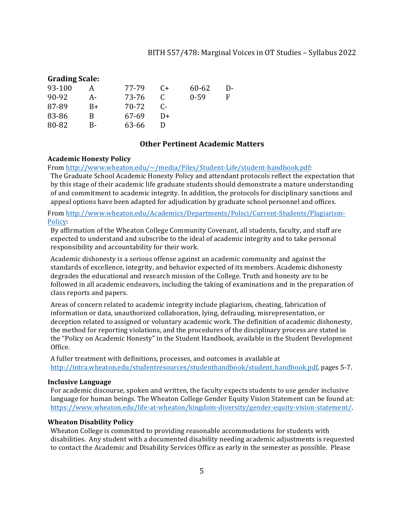#### **Grading Scale:**

|    | 77-79 | C+       | 60-62    | I)- |
|----|-------|----------|----------|-----|
| А- | 73-76 |          | $0 - 59$ |     |
| B+ | 70-72 | $\Gamma$ |          |     |
| В  | 67-69 | $1+$     |          |     |
| в- | 63-66 |          |          |     |
|    |       |          |          |     |

#### **Other Pertinent Academic Matters**

#### **Academic Honesty Policy**

From http://www.wheaton.edu/~/media/Files/Student-Life/student-handbook.pdf:

The Graduate School Academic Honesty Policy and attendant protocols reflect the expectation that by this stage of their academic life graduate students should demonstrate a mature understanding of and commitment to academic integrity. In addition, the protocols for disciplinary sanctions and appeal options have been adapted for adjudication by graduate school personnel and offices.

From http://www.wheaton.edu/Academics/Departments/Polsci/Current-Students/Plagiarism-Policy:

By affirmation of the Wheaton College Community Covenant, all students, faculty, and staff are expected to understand and subscribe to the ideal of academic integrity and to take personal responsibility and accountability for their work.

Academic dishonesty is a serious offense against an academic community and against the standards of excellence, integrity, and behavior expected of its members. Academic dishonesty degrades the educational and research mission of the College. Truth and honesty are to be followed in all academic endeavors, including the taking of examinations and in the preparation of class reports and papers.

Areas of concern related to academic integrity include plagiarism, cheating, fabrication of information or data, unauthorized collaboration, lying, defrauding, misrepresentation, or deception related to assigned or voluntary academic work. The definition of academic dishonesty, the method for reporting violations, and the procedures of the disciplinary process are stated in the "Policy on Academic Honesty" in the Student Handbook, available in the Student Development Office.

A fuller treatment with definitions, processes, and outcomes is available at http://intra.wheaton.edu/studentresources/studenthandbook/student\_handbook.pdf, pages 5-7.

#### **Inclusive Language**

For academic discourse, spoken and written, the faculty expects students to use gender inclusive language for human beings. The Wheaton College Gender Equity Vision Statement can be found at: https://www.wheaton.edu/life-at-wheaton/kingdom-diversity/gender-equity-vision-statement/.

#### **Wheaton Disability Policy**

Wheaton College is committed to providing reasonable accommodations for students with disabilities. Any student with a documented disability needing academic adjustments is requested to contact the Academic and Disability Services Office as early in the semester as possible. Please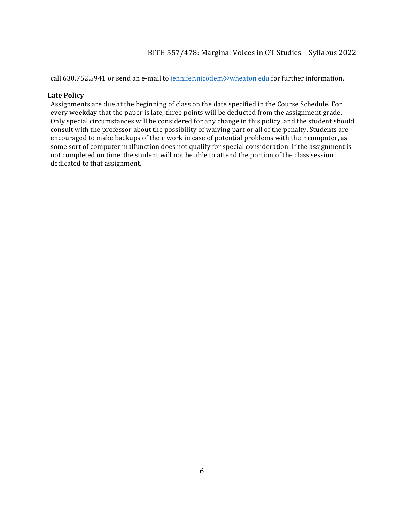call 630.752.5941 or send an e-mail to jennifer.nicodem@wheaton.edu for further information.

#### **Late Policy**

Assignments are due at the beginning of class on the date specified in the Course Schedule. For every weekday that the paper is late, three points will be deducted from the assignment grade. Only special circumstances will be considered for any change in this policy, and the student should consult with the professor about the possibility of waiving part or all of the penalty. Students are encouraged to make backups of their work in case of potential problems with their computer, as some sort of computer malfunction does not qualify for special consideration. If the assignment is not completed on time, the student will not be able to attend the portion of the class session dedicated to that assignment.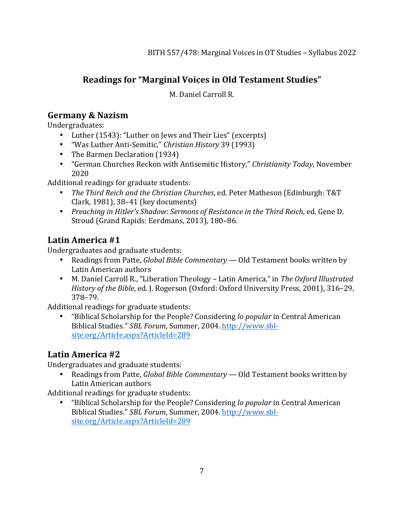# **Readings for "Marginal Voices in Old Testament Studies"**

M. Daniel Carroll R.

## **Germany & Nazism**

Undergraduates:

- Luther (1543): "Luther on Jews and Their Lies" (excerpts)
- "Was Luther Anti-Semitic," *Christian History* 39 (1993)
- The Barmen Declaration (1934)
- "German Churches Reckon with Antisemitic History," *Christianity Today*, November 2020

Additional readings for graduate students:

- The Third Reich and the Christian Churches, ed. Peter Matheson (Edinburgh: T&T) Clark, 1981),  $38-41$  (key documents)
- *Preaching in Hitler's Shadow: Sermons of Resistance in the Third Reich, ed. Gene D.* Stroud (Grand Rapids: Eerdmans, 2013), 180-86.

# Latin America #1

Undergraduates and graduate students:

- Readings from Patte, *Global Bible Commentary* Old Testament books written by Latin American authors
- M. Daniel Carroll R., "Liberation Theology Latin America," in The Oxford Illustrated *History of the Bible, ed. J. Rogerson (Oxford: Oxford University Press, 2001), 316-29,* 378–79.

Additional readings for graduate students:

• "Biblical Scholarship for the People? Considering *lo popular* in Central American Biblical Studies." *SBL Forum*, Summer, 2004. http://www.sblsite.org/Article.aspx?ArticleId=289

# **Latin America #2**

Undergraduates and graduate students:

• Readings from Patte, *Global Bible Commentary* — Old Testament books written by Latin American authors

Additional readings for graduate students:

• "Biblical Scholarship for the People? Considering lo popular in Central American Biblical Studies." *SBL Forum*, Summer, 2004. http://www.sblsite.org/Article.aspx?ArticleId=289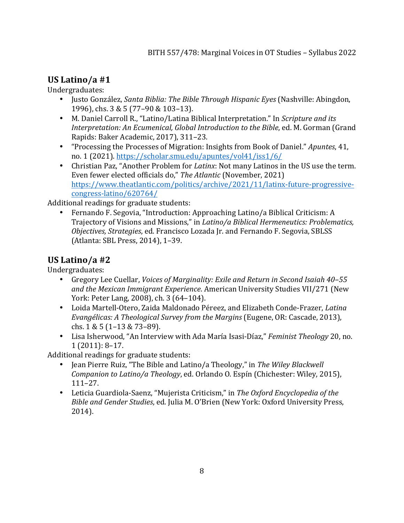## **US Latino/a #1**

Undergraduates:

- Justo González, *Santa Biblia: The Bible Through Hispanic Eyes* (Nashville: Abingdon, 1996), chs. 3 & 5 (77-90 & 103-13).
- M. Daniel Carroll R., "Latino/Latina Biblical Interpretation." In *Scripture and its Interpretation: An Ecumenical, Global Introduction to the Bible, ed. M. Gorman (Grand* Rapids: Baker Academic, 2017), 311-23.
- "Processing the Processes of Migration: Insights from Book of Daniel." *Apuntes*, 41, no. 1 (2021). https://scholar.smu.edu/apuntes/vol41/iss1/6/
- Christian Paz, "Another Problem for *Latinx*: Not many Latinos in the US use the term. Even fewer elected officials do," The Atlantic (November, 2021) https://www.theatlantic.com/politics/archive/2021/11/latinx-future-progressivecongress-latino/620764/

Additional readings for graduate students:

Fernando F. Segovia, "Introduction: Approaching Latino/a Biblical Criticism: A Trajectory of Visions and Missions," in *Latino/a Biblical Hermeneutics: Problematics, Objectives, Strategies, ed. Francisco Lozada Jr. and Fernando F. Segovia, SBLSS* (Atlanta: SBL Press, 2014), 1-39.

## **US Latino/a #2**

Undergraduates:

- Gregory Lee Cuellar, *Voices of Marginality: Exile and Return in Second Isaiah 40-55* and the Mexican Immigrant Experience. American University Studies VII/271 (New York: Peter Lang, 2008), ch. 3 (64-104).
- Loida Martell-Otero, Zaida Maldonado Péreez, and Elizabeth Conde-Frazer, *Latina Evangélicas: A Theological Survey from the Margins* (Eugene, OR: Cascade, 2013), chs.  $1 & 5 (1-13 & 73-89)$ .
- Lisa Isherwood, "An Interview with Ada María Isasi-Díaz," *Feminist Theology* 20, no. 1 (2011): 8–17.

Additional readings for graduate students:

- Jean Pierre Ruiz, "The Bible and Latino/a Theology," in *The Wiley Blackwell Companion to Latino/a Theology*, ed. Orlando O. Espín (Chichester: Wiley, 2015), 111–27.
- Leticia Guardiola-Saenz, "Mujerista Criticism," in The Oxford Encyclopedia of the *Bible and Gender Studies*, ed. Julia M. O'Brien (New York: Oxford University Press, 2014).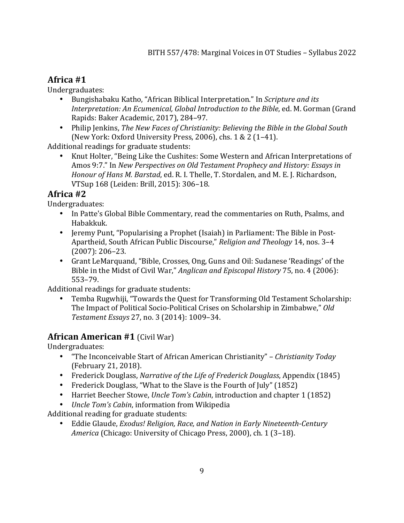## **Africa #1**

Undergraduates:

- Bungishabaku Katho, "African Biblical Interpretation." In *Scripture and its Interpretation: An Ecumenical, Global Introduction to the Bible, ed. M. Gorman (Grand* Rapids: Baker Academic, 2017), 284-97.
- Philip Jenkins, *The New Faces of Christianity: Believing the Bible in the Global South* (New York: Oxford University Press, 2006), chs.  $1 & 2 (1-41)$ .

Additional readings for graduate students:

• Knut Holter, "Being Like the Cushites: Some Western and African Interpretations of Amos 9:7." In *New Perspectives on Old Testament Prophecy and History: Essays in Honour of Hans M. Barstad*, ed. R. I. Thelle, T. Stordalen, and M. E. J. Richardson, VTSup 168 (Leiden: Brill, 2015): 306–18. 

### **Africa #2**

Undergraduates:

- In Patte's Global Bible Commentary, read the commentaries on Ruth, Psalms, and Habakkuk.
- Jeremy Punt, "Popularising a Prophet (Isaiah) in Parliament: The Bible in Post-Apartheid, South African Public Discourse," *Religion and Theology* 14, nos. 3-4  $(2007): 206 - 23.$
- Grant LeMarquand, "Bible, Crosses, Ong, Guns and Oil: Sudanese 'Readings' of the Bible in the Midst of Civil War," *Anglican and Episcopal History* 75, no. 4 (2006): 553–79.

Additional readings for graduate students:

Temba Rugwhiji, "Towards the Quest for Transforming Old Testament Scholarship: The Impact of Political Socio-Political Crises on Scholarship in Zimbabwe," Old *Testament Essays* 27, no. 3 (2014): 1009–34.

## **African American #1** (Civil War)

Undergraduates:

- "The Inconceivable Start of African American Christianity" *Christianity Today* (February 21, 2018).
- Frederick Douglass, *Narrative of the Life of Frederick Douglass*, Appendix (1845)
- Frederick Douglass, "What to the Slave is the Fourth of July" (1852)
- Harriet Beecher Stowe, *Uncle Tom's Cabin*, introduction and chapter 1 (1852)
- *Uncle Tom's Cabin*, information from Wikipedia

Additional reading for graduate students:

• Eddie Glaude, *Exodus! Religion, Race, and Nation in Early Nineteenth-Century America* (Chicago: University of Chicago Press, 2000), ch. 1 (3-18).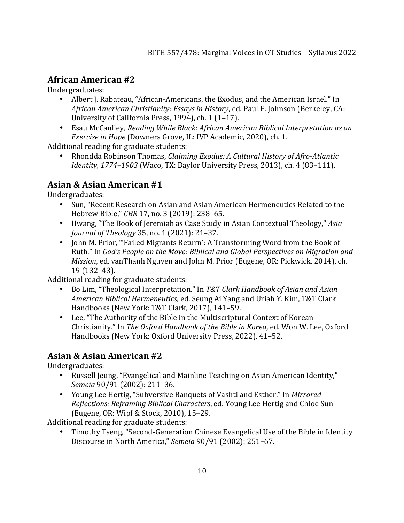## **African American #2**

Undergraduates:

- Albert J. Rabateau, "African-Americans, the Exodus, and the American Israel." In African American Christianity: Essays in History, ed. Paul E. Johnson (Berkeley, CA: University of California Press, 1994), ch. 1 (1-17).
- Esau McCaulley, *Reading While Black: African American Biblical Interpretation as an Exercise in Hope* (Downers Grove, IL: IVP Academic, 2020), ch. 1.

Additional reading for graduate students:

• Rhondda Robinson Thomas, *Claiming Exodus: A Cultural History of Afro-Atlantic Identity, 1774–1903* (Waco, TX: Baylor University Press, 2013), ch. 4 (83–111).

## **Asian & Asian American #1**

Undergraduates:

- Sun, "Recent Research on Asian and Asian American Hermeneutics Related to the Hebrew Bible," *CBR* 17, no. 3 (2019): 238-65.
- Hwang, "The Book of Jeremiah as Case Study in Asian Contextual Theology," Asia *Journal of Theology* 35, no. 1 (2021): 21-37.
- John M. Prior, "'Failed Migrants Return': A Transforming Word from the Book of Ruth." In *God's People on the Move: Biblical and Global Perspectives on Migration and Mission*, ed. vanThanh Nguyen and John M. Prior (Eugene, OR: Pickwick, 2014), ch. 19 (132–43).

Additional reading for graduate students:

- Bo Lim, "Theological Interpretation." In T&T Clark Handbook of Asian and Asian *American Biblical Hermeneutics*, ed. Seung Ai Yang and Uriah Y. Kim, T&T Clark Handbooks (New York: T&T Clark, 2017), 141-59.
- Lee, "The Authority of the Bible in the Multiscriptural Context of Korean Christianity." In *The Oxford Handbook of the Bible in Korea*, ed. Won W. Lee, Oxford Handbooks (New York: Oxford University Press, 2022), 41-52.

# **Asian & Asian American #2**

Undergraduates:

- Russell Jeung, "Evangelical and Mainline Teaching on Asian American Identity," *Semeia* 90/91 (2002): 211-36.
- Young Lee Hertig, "Subversive Banquets of Vashti and Esther." In *Mirrored Reflections: Reframing Biblical Characters, ed. Young Lee Hertig and Chloe Sun* (Eugene, OR: Wipf & Stock, 2010), 15-29.

Additional reading for graduate students:

Timothy Tseng, "Second-Generation Chinese Evangelical Use of the Bible in Identity Discourse in North America," *Semeia* 90/91 (2002): 251-67.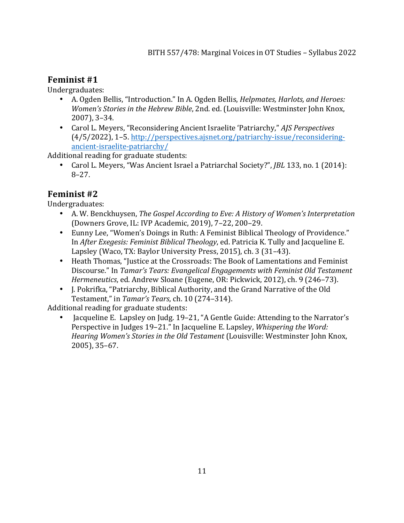## **Feminist** #1

Undergraduates:

- A. Ogden Bellis, "Introduction." In A. Ogden Bellis, *Helpmates, Harlots, and Heroes: Women's Stories in the Hebrew Bible*, 2nd. ed. (Louisville: Westminster John Knox, 2007), 3–34.
- Carol L. Meyers, "Reconsidering Ancient Israelite 'Patriarchy," AIS Perspectives (4/5/2022), 1–5. http://perspectives.ajsnet.org/patriarchy-issue/reconsideringancient-israelite-patriarchy/

Additional reading for graduate students:

• Carol L. Meyers, "Was Ancient Israel a Patriarchal Society?", *JBL* 133, no. 1 (2014): 8–27.

## **Feminist** #2

Undergraduates:

- A. W. Benckhuysen, *The Gospel According to Eve: A History of Women's Interpretation* (Downers Grove, IL: IVP Academic, 2019), 7-22, 200-29.
- Eunny Lee, "Women's Doings in Ruth: A Feminist Biblical Theology of Providence." In *After Exegesis: Feminist Biblical Theology*, ed. Patricia K. Tully and Jacqueline E. Lapsley (Waco, TX: Baylor University Press, 2015), ch. 3 (31–43).
- Heath Thomas, "Justice at the Crossroads: The Book of Lamentations and Feminist Discourse." In *Tamar's Tears: Evangelical Engagements with Feminist Old Testament Hermeneutics*, ed. Andrew Sloane (Eugene, OR: Pickwick, 2012), ch. 9 (246–73).
- J. Pokrifka, "Patriarchy, Biblical Authority, and the Grand Narrative of the Old Testament," in *Tamar's Tears*, ch. 10 (274-314).

Additional reading for graduate students:

• Jacqueline E. Lapsley on Judg. 19-21, "A Gentle Guide: Attending to the Narrator's Perspective in Judges 19–21." In Jacqueline E. Lapsley, *Whispering the Word: Hearing Women's Stories in the Old Testament* (Louisville: Westminster John Knox, 2005), 35–67.